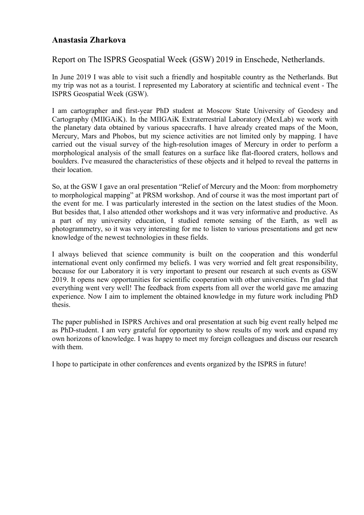## **Anastasia Zharkova**

## Report on The ISPRS Geospatial Week (GSW) 2019 in Enschede, Netherlands.

In June 2019 I was able to visit such a friendly and hospitable country as the Netherlands. But my trip was not as a tourist. I represented my Laboratory at scientific and technical event - The ISPRS Geospatial Week (GSW).

I am cartographer and first-year PhD student at Moscow State University of Geodesy and Cartography (MIIGAiK). In the MIIGAiK Extraterrestrial Laboratory (MexLab) we work with the planetary data obtained by various spacecrafts. I have already created maps of the Moon, Mercury, Mars and Phobos, but my science activities are not limited only by mapping. I have carried out the visual survey of the high-resolution images of Mercury in order to perform a morphological analysis of the small features on a surface like flat-floored craters, hollows and boulders. I've measured the characteristics of these objects and it helped to reveal the patterns in their location.

So, at the GSW I gave an oral presentation "Relief of Mercury and the Moon: from morphometry to morphological mapping" at PRSM workshop. And of course it was the most important part of the event for me. I was particularly interested in the section on the latest studies of the Moon. But besides that, I also attended other workshops and it was very informative and productive. As a part of my university education, I studied remote sensing of the Earth, as well as photogrammetry, so it was very interesting for me to listen to various presentations and get new knowledge of the newest technologies in these fields.

I always believed that science community is built on the cooperation and this wonderful international event only confirmed my beliefs. I was very worried and felt great responsibility, because for our Laboratory it is very important to present our research at such events as GSW 2019. It opens new opportunities for scientific cooperation with other universities. I'm glad that everything went very well! The feedback from experts from all over the world gave me amazing experience. Now I aim to implement the obtained knowledge in my future work including PhD thesis.

The paper published in ISPRS Archives and oral presentation at such big event really helped me as PhD-student. I am very grateful for opportunity to show results of my work and expand my own horizons of knowledge. I was happy to meet my foreign colleagues and discuss our research with them.

I hope to participate in other conferences and events organized by the ISPRS in future!